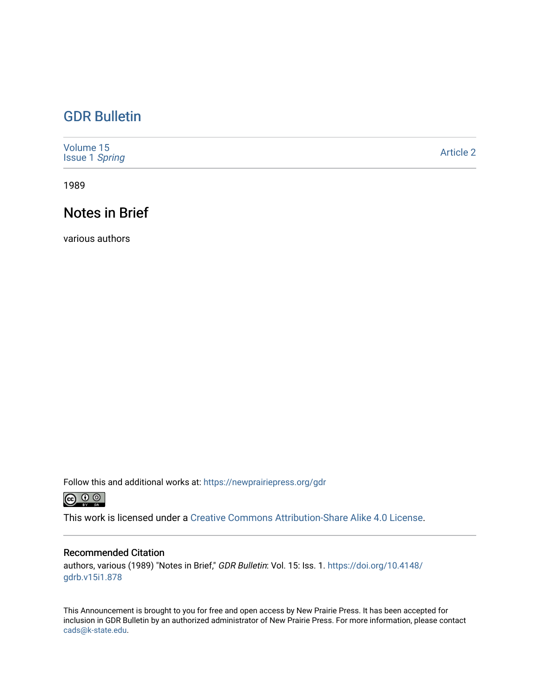# [GDR Bulletin](https://newprairiepress.org/gdr)

| Volume 15<br><b>Issue 1 Spring</b> | <b>Article 2</b> |
|------------------------------------|------------------|
|------------------------------------|------------------|

1989

# Notes in Brief

various authors

Follow this and additional works at: [https://newprairiepress.org/gdr](https://newprairiepress.org/gdr?utm_source=newprairiepress.org%2Fgdr%2Fvol15%2Fiss1%2F2&utm_medium=PDF&utm_campaign=PDFCoverPages) 



This work is licensed under a [Creative Commons Attribution-Share Alike 4.0 License.](https://creativecommons.org/licenses/by-sa/4.0/)

## Recommended Citation

authors, various (1989) "Notes in Brief," GDR Bulletin: Vol. 15: Iss. 1. [https://doi.org/10.4148/](https://doi.org/10.4148/gdrb.v15i1.878) [gdrb.v15i1.878](https://doi.org/10.4148/gdrb.v15i1.878)

This Announcement is brought to you for free and open access by New Prairie Press. It has been accepted for inclusion in GDR Bulletin by an authorized administrator of New Prairie Press. For more information, please contact [cads@k-state.edu.](mailto:cads@k-state.edu)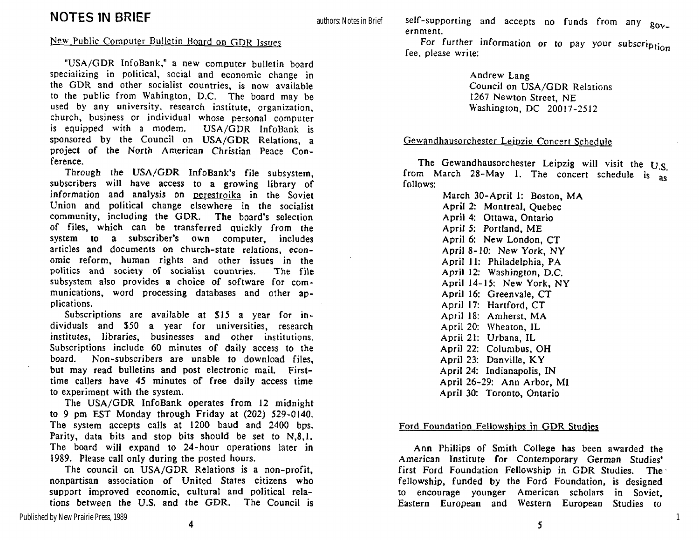## New Public Computer Bulletin Board on GDR Issues

"USA/GDR InfoBank," a new computer bulletin board specializing in political, social and economic change in the GDR and other socialist countries, is now available to the public from Wahington, D.C. The board may be used **by** any university, research institute, organization, church, business or individual whose personal computer is equipped with a modem. USA/GDR InfoBank is sponsored by the Council on USA/GDR Relations, a project of the North American Christian Peace Conference.

Through the USA/GDR InfoBank's file subsystem. subscribers will have access to **a** growing library of information and analysis on perestroika in the Soviet Union and political change elsewhere in the socialist community, including the GDR. The board's selection of files, which can be transferred quickly from the system to **a** subscriber's own computer, includes articles and documents on church-state relations, economic reform, human rights and other issues in the **politics** and society of socialist countries. The file subsystem also provides **a** choice of software for communications, word processing databases and other applications.

Subscriptions are available at \$15 a year for individuals and \$50 a year for universities, research institutes, libraries, **businesses** and other institutions. Subscriptions include 60 minutes of daily access to the board. Non-subscribers are **unable** to download files, but may read bulletins and post electronic mail. Firsttime callers have 45 minutes of free daily access time to experiment with the system.

The USA/GDR InfoBank operates from 12 midnight to 9 pm EST Monday through Friday at (202) 529-0140. The system accepts calls at 1200 baud and 2400 bps. Parity, data bits and stop bits should be set to N,8,1. The board will expand to 24-hour operations later in 1989. Please call only during the posted hours.

The council on USA/GDR Relations is a non-profit, nonpartisan association of United States citizens who support improved economic, cultural and political relations between the U.S. and the GDR. The Council is self-supporting and accepts no funds from any  $g_{0v}$ . ernment.

For further information or to pay your subscription fee, please write:

> Andrew Lang Council on USA/GDR Relations 1267 Newton Street, NE Washington, DC 20017-2512

#### Gewandhausorchester Leipzig Concert Schedule

The Gewandhausorchester Leipzig will visit the  $U.S.$ from March 28-May 1. The concert schedule is  $\frac{1}{8}$ follows:

> March 30-April 1: Boston, MA April 2: Montreal, Quebec April 4: Ottawa, Ontario April 5: Portland, ME April 6: New London, CT April 8-10: New York, NY April 11: Philadelphia, PA April 12: Washington, D.C. April 14-15: New York, NY April 16: Greenvale, CT April 17: Hartford, CT April 18: Amherst, MA April 20: Wheaton, IL April 21: Urbana, IL April 22: Columbus, OH April 23: Danville, KY April 24: Indianapolis, IN April 26-29: Ann Arbor, MI April 30: Toronto, Ontario

### Ford Foundation Fellowships in GDR Studies

Ann Phillips of Smith College has been awarded the American Institute for Contemporary German Studies' first Ford Foundation Fellowship in GDR Studies. The fellowship, funded by the Ford Foundation, is designed to encourage younger American scholars in Soviet, Eastern European and Western European Studies to

1